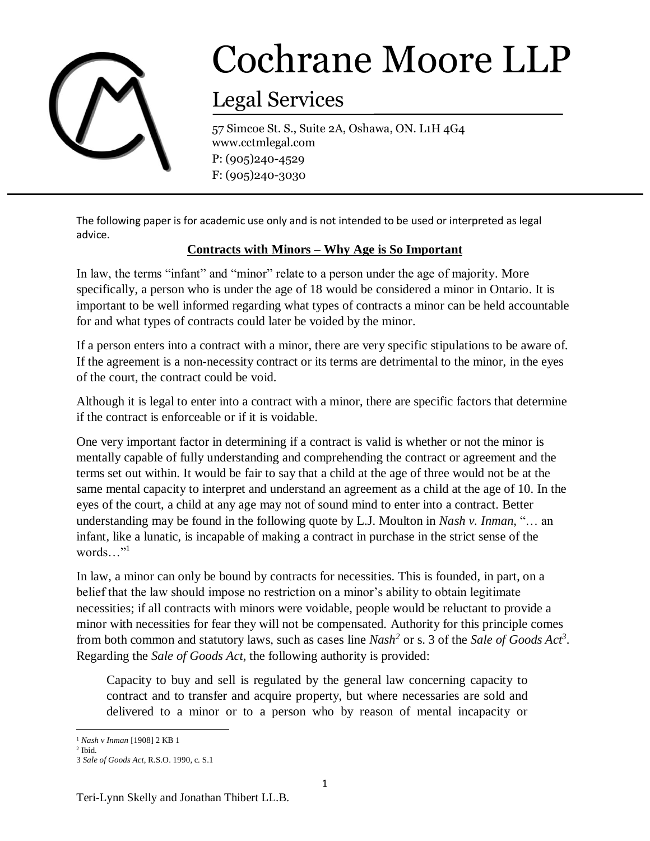

## Cochrane Moore LLP

## Legal Services

57 Simcoe St. S., Suite 2A, Oshawa, ON. L1H 4G4 www.cctmlegal.com P: (905)240-4529 F: (905)240-3030

The following paper is for academic use only and is not intended to be used or interpreted as legal advice.

## **Contracts with Minors – Why Age is So Important**

In law, the terms "infant" and "minor" relate to a person under the age of majority. More specifically, a person who is under the age of 18 would be considered a minor in Ontario. It is important to be well informed regarding what types of contracts a minor can be held accountable for and what types of contracts could later be voided by the minor.

If a person enters into a contract with a minor, there are very specific stipulations to be aware of. If the agreement is a non-necessity contract or its terms are detrimental to the minor, in the eyes of the court, the contract could be void.

Although it is legal to enter into a contract with a minor, there are specific factors that determine if the contract is enforceable or if it is voidable.

One very important factor in determining if a contract is valid is whether or not the minor is mentally capable of fully understanding and comprehending the contract or agreement and the terms set out within. It would be fair to say that a child at the age of three would not be at the same mental capacity to interpret and understand an agreement as a child at the age of 10. In the eyes of the court, a child at any age may not of sound mind to enter into a contract. Better understanding may be found in the following quote by L.J. Moulton in *Nash v. Inman,* "… an infant, like a lunatic, is incapable of making a contract in purchase in the strict sense of the words $\ldots$ "<sup>1</sup>

In law, a minor can only be bound by contracts for necessities. This is founded, in part, on a belief that the law should impose no restriction on a minor's ability to obtain legitimate necessities; if all contracts with minors were voidable, people would be reluctant to provide a minor with necessities for fear they will not be compensated. Authority for this principle comes from both common and statutory laws, such as cases line *Nash<sup>2</sup>* or s. 3 of the *Sale of Goods Act<sup>3</sup>* . Regarding the *Sale of Goods Act*, the following authority is provided:

Capacity to buy and sell is regulated by the general law concerning capacity to contract and to transfer and acquire property, but where necessaries are sold and delivered to a minor or to a person who by reason of mental incapacity or

 $\overline{\phantom{a}}$ <sup>1</sup> *Nash v Inman* [1908] 2 KB 1

<sup>2</sup> Ibid.

<sup>3</sup> *Sale of Goods Act*, R.S.O. 1990, c. S.1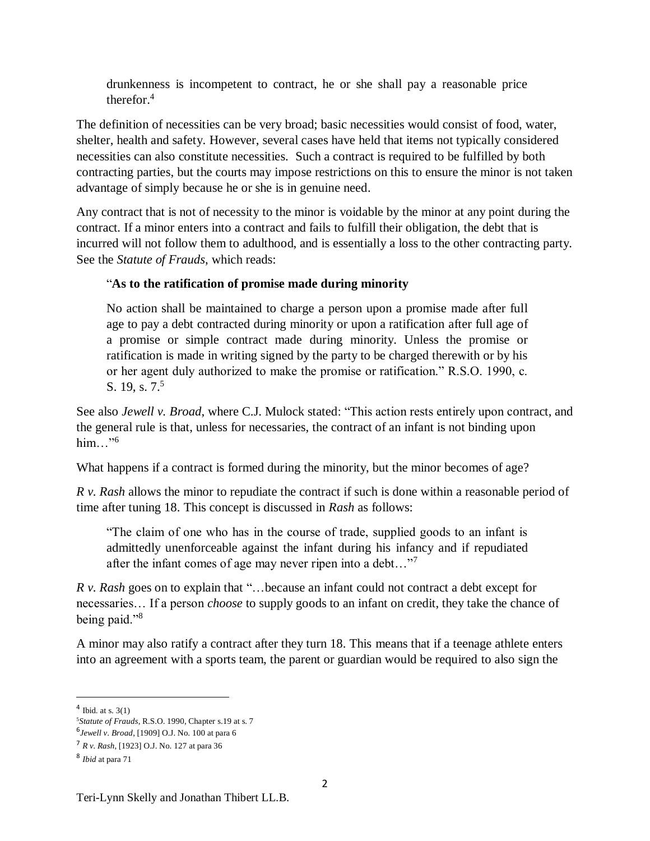drunkenness is incompetent to contract, he or she shall pay a reasonable price therefor.<sup>4</sup>

The definition of necessities can be very broad; basic necessities would consist of food, water, shelter, health and safety. However, several cases have held that items not typically considered necessities can also constitute necessities. Such a contract is required to be fulfilled by both contracting parties, but the courts may impose restrictions on this to ensure the minor is not taken advantage of simply because he or she is in genuine need.

Any contract that is not of necessity to the minor is voidable by the minor at any point during the contract. If a minor enters into a contract and fails to fulfill their obligation, the debt that is incurred will not follow them to adulthood, and is essentially a loss to the other contracting party. See the *Statute of Frauds*, which reads:

## "**As to the ratification of promise made during minority**

No action shall be maintained to charge a person upon a promise made after full age to pay a debt contracted during minority or upon a ratification after full age of a promise or simple contract made during minority. Unless the promise or ratification is made in writing signed by the party to be charged therewith or by his or her agent duly authorized to make the promise or ratification." R.S.O. 1990, c. S. 19, s.  $7<sup>5</sup>$ 

See also *Jewell v. Broad*, where C.J. Mulock stated: "This action rests entirely upon contract, and the general rule is that, unless for necessaries, the contract of an infant is not binding upon him $\ldots$ "<sup>6</sup>

What happens if a contract is formed during the minority, but the minor becomes of age?

*R v. Rash* allows the minor to repudiate the contract if such is done within a reasonable period of time after tuning 18. This concept is discussed in *Rash* as follows:

"The claim of one who has in the course of trade, supplied goods to an infant is admittedly unenforceable against the infant during his infancy and if repudiated after the infant comes of age may never ripen into a debt..."<sup>7</sup>

*R v. Rash* goes on to explain that "…because an infant could not contract a debt except for necessaries… If a person *choose* to supply goods to an infant on credit, they take the chance of being paid."<sup>8</sup>

A minor may also ratify a contract after they turn 18. This means that if a teenage athlete enters into an agreement with a sports team, the parent or guardian would be required to also sign the

 $\overline{a}$ 

 $4$  Ibid. at s.  $3(1)$ 

<sup>5</sup>*Statute of Frauds*, R.S.O. 1990, Chapter s.19 at s. 7

<sup>6</sup> *Jewell v. Broad*, [1909] O.J. No. 100 at para 6

<sup>7</sup> *R v. Rash*, [1923] O.J. No. 127 at para 36

<sup>8</sup> *Ibid* at para 71